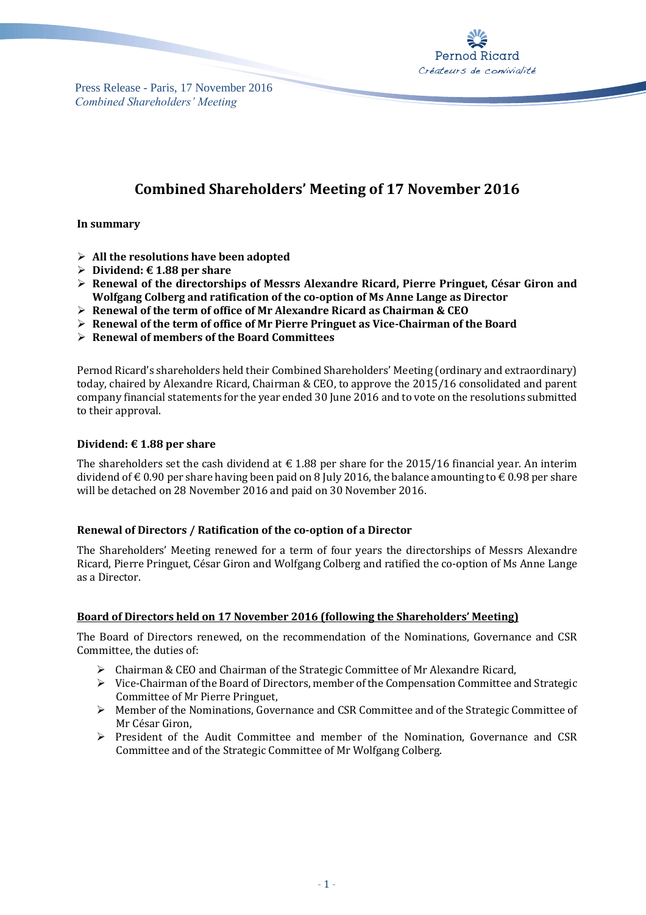

Press Release - Paris, 17 November 2016 *Combined Shareholders' Meeting*

# **Combined Shareholders' Meeting of 17 November 2016**

**In summary**

- **All the resolutions have been adopted**
- **Dividend: € 1.88 per share**
- **Renewal of the directorships of Messrs Alexandre Ricard, Pierre Pringuet, César Giron and Wolfgang Colberg and ratification of the co-option of Ms Anne Lange as Director**
- **Renewal of the term of office of Mr Alexandre Ricard as Chairman & CEO**
- **Renewal of the term of office of Mr Pierre Pringuet as Vice-Chairman of the Board**
- **Renewal of members of the Board Committees**

Pernod Ricard's shareholders held their Combined Shareholders' Meeting (ordinary and extraordinary) today, chaired by Alexandre Ricard, Chairman & CEO, to approve the 2015/16 consolidated and parent company financial statements for the year ended 30 June 2016 and to vote on the resolutions submitted to their approval.

## **Dividend: € 1.88 per share**

The shareholders set the cash dividend at  $\epsilon$  1.88 per share for the 2015/16 financial year. An interim dividend of  $\epsilon$  0.90 per share having been paid on 8 July 2016, the balance amounting to  $\epsilon$  0.98 per share will be detached on 28 November 2016 and paid on 30 November 2016.

## **Renewal of Directors / Ratification of the co-option of a Director**

The Shareholders' Meeting renewed for a term of four years the directorships of Messrs Alexandre Ricard, Pierre Pringuet, César Giron and Wolfgang Colberg and ratified the co-option of Ms Anne Lange as a Director.

## **Board of Directors held on 17 November 2016 (following the Shareholders' Meeting)**

The Board of Directors renewed, on the recommendation of the Nominations, Governance and CSR Committee, the duties of:

- Chairman & CEO and Chairman of the Strategic Committee of Mr Alexandre Ricard,
- $\triangleright$  Vice-Chairman of the Board of Directors, member of the Compensation Committee and Strategic Committee of Mr Pierre Pringuet,
- $\triangleright$  Member of the Nominations, Governance and CSR Committee and of the Strategic Committee of Mr César Giron,
- President of the Audit Committee and member of the Nomination, Governance and CSR Committee and of the Strategic Committee of Mr Wolfgang Colberg.